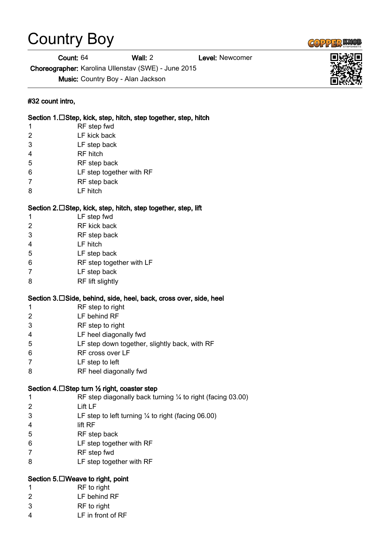## Country Boy

Count: 64 Wall: 2 Level: Newcomer

Choreographer: Karolina Ullenstav (SWE) - June 2015

Music: Country Boy - Alan Jackson

## #32 count intro,

|              | Section 1.□Step, kick, step, hitch, step together, step, hitch    |
|--------------|-------------------------------------------------------------------|
| 1            | RF step fwd                                                       |
| 2            | LF kick back                                                      |
| 3            | LF step back                                                      |
| 4            | <b>RF</b> hitch                                                   |
| 5            | RF step back                                                      |
| 6            | LF step together with RF                                          |
| 7            | RF step back                                                      |
| 8            | LF hitch                                                          |
|              | Section 2.□Step, kick, step, hitch, step together, step, lift     |
| 1            | LF step fwd                                                       |
| 2            | RF kick back                                                      |
| 3            | RF step back                                                      |
| 4            | LF hitch                                                          |
| 5            | LF step back                                                      |
| 6            | RF step together with LF                                          |
| 7            | LF step back                                                      |
| 8            | RF lift slightly                                                  |
|              | Section 3.□Side, behind, side, heel, back, cross over, side, heel |
| 1            | RF step to right                                                  |
| 2            | LF behind RF                                                      |
| 3            | RF step to right                                                  |
| 4            | LF heel diagonally fwd                                            |
| 5            | LF step down together, slightly back, with RF                     |
| 6            | RF cross over LF                                                  |
| 7            | LF step to left                                                   |
| 8            | RF heel diagonally fwd                                            |
|              | Section 4. □ Step turn ½ right, coaster step                      |
| $\mathbf{1}$ | RF step diagonally back turning $\%$ to right (facing 03.00)      |
| 2            | Lift LF                                                           |
| 3            | LF step to left turning $\frac{1}{4}$ to right (facing 06.00)     |
| 4            | lift RF                                                           |
| 5            | RF step back                                                      |
| 6            | LF step together with RF                                          |
| 7            | RF step fwd                                                       |
| 8            | LF step together with RF                                          |
|              | Section 5. □ Weave to right, point                                |
| 1            | RF to right                                                       |
| 2            | LF behind RF                                                      |
| 3            | RF to right                                                       |
| 4            | LF in front of RF                                                 |